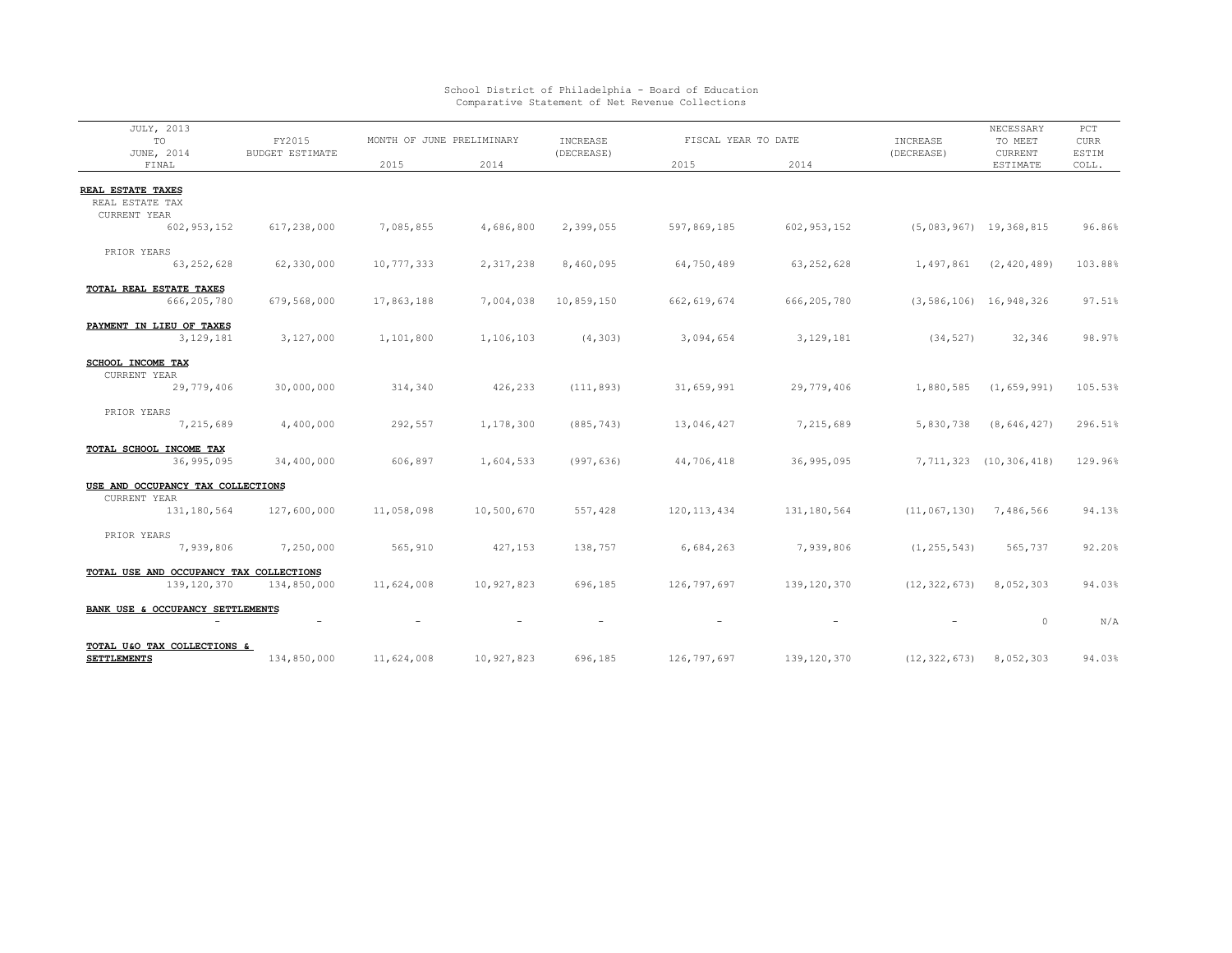| JULY, 2013<br>TO                                         | FY2015<br><b>BUDGET ESTIMATE</b> | MONTH OF JUNE PRELIMINARY |                          | INCREASE                 | FISCAL YEAR TO DATE |               | INCREASE       | NECESSARY<br>TO MEET         | $PCT$<br><b>CURR</b> |
|----------------------------------------------------------|----------------------------------|---------------------------|--------------------------|--------------------------|---------------------|---------------|----------------|------------------------------|----------------------|
| JUNE, 2014<br>FINAL                                      |                                  | 2015                      | 2014                     | (DECREASE)               | 2015                | 2014          | (DECREASE)     | CURRENT<br>ESTIMATE          | ESTIM<br>COLL.       |
| REAL ESTATE TAXES<br>REAL ESTATE TAX<br>CURRENT YEAR     |                                  |                           |                          |                          |                     |               |                |                              |                      |
| 602, 953, 152                                            | 617,238,000                      | 7,085,855                 | 4,686,800                | 2,399,055                | 597,869,185         | 602, 953, 152 |                | $(5,083,967)$ 19,368,815     | 96.86%               |
| PRIOR YEARS<br>63, 252, 628                              | 62,330,000                       | 10,777,333                | 2,317,238                | 8,460,095                | 64,750,489          | 63, 252, 628  | 1,497,861      | (2, 420, 489)                | 103.88%              |
| TOTAL REAL ESTATE TAXES<br>666,205,780                   | 679,568,000                      | 17,863,188                | 7,004,038                | 10,859,150               | 662, 619, 674       | 666,205,780   |                | $(3, 586, 106)$ 16, 948, 326 | 97.51%               |
| PAYMENT IN LIEU OF TAXES<br>3,129,181                    | 3,127,000                        | 1,101,800                 | 1,106,103                | (4, 303)                 | 3,094,654           | 3,129,181     | (34, 527)      | 32,346                       | 98.97%               |
| <b>SCHOOL INCOME TAX</b><br>CURRENT YEAR<br>29,779,406   | 30,000,000                       | 314,340                   | 426,233                  | (111, 893)               | 31,659,991          | 29,779,406    | 1,880,585      | (1, 659, 991)                | 105.53%              |
|                                                          |                                  |                           |                          |                          |                     |               |                |                              |                      |
| PRIOR YEARS<br>7,215,689                                 | 4,400,000                        | 292,557                   | 1,178,300                | (885, 743)               | 13,046,427          | 7,215,689     | 5,830,738      | (8, 646, 427)                | 296.51%              |
| TOTAL SCHOOL INCOME TAX<br>36,995,095                    | 34,400,000                       | 606,897                   | 1,604,533                | (997, 636)               | 44,706,418          | 36,995,095    | 7,711,323      | (10, 306, 418)               | 129.96%              |
| USE AND OCCUPANCY TAX COLLECTIONS                        |                                  |                           |                          |                          |                     |               |                |                              |                      |
| CURRENT YEAR<br>131,180,564                              | 127,600,000                      | 11,058,098                | 10,500,670               | 557,428                  | 120, 113, 434       | 131,180,564   | (11, 067, 130) | 7,486,566                    | 94.13%               |
| PRIOR YEARS<br>7,939,806                                 | 7,250,000                        | 565,910                   | 427,153                  | 138,757                  | 6,684,263           | 7,939,806     | (1, 255, 543)  | 565,737                      | 92.20%               |
| TOTAL USE AND OCCUPANCY TAX COLLECTIONS<br>139, 120, 370 | 134,850,000                      | 11,624,008                | 10,927,823               | 696,185                  | 126,797,697         | 139, 120, 370 | (12, 322, 673) | 8,052,303                    | 94.03%               |
| BANK USE & OCCUPANCY SETTLEMENTS                         | $\overline{\phantom{a}}$         |                           | $\overline{\phantom{a}}$ | $\overline{\phantom{a}}$ | $\overline{a}$      |               |                | $\circ$                      | N/A                  |
| TOTAL U&O TAX COLLECTIONS &<br><b>SETTLEMENTS</b>        | 134,850,000                      | 11,624,008                | 10,927,823               | 696,185                  | 126,797,697         | 139, 120, 370 | (12, 322, 673) | 8,052,303                    | 94.03%               |

School District of Philadelphia - Board of Education Comparative Statement of Net Revenue Collections